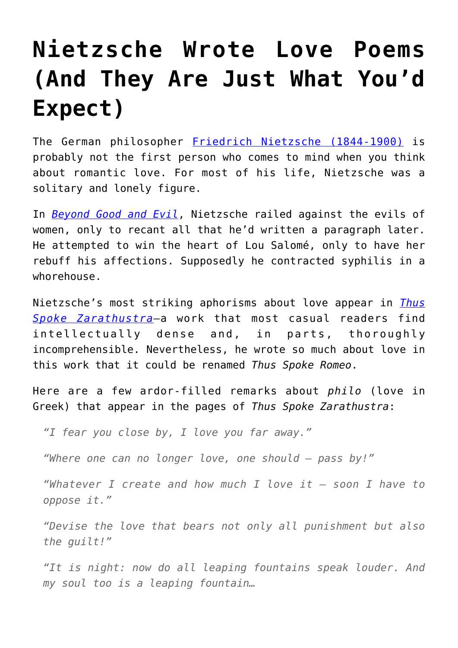## **[Nietzsche Wrote Love Poems](https://intellectualtakeout.org/2017/02/nietzsche-wrote-love-poems-and-they-are-just-what-youd-expect/) [\(And They Are Just What You'd](https://intellectualtakeout.org/2017/02/nietzsche-wrote-love-poems-and-they-are-just-what-youd-expect/) [Expect\)](https://intellectualtakeout.org/2017/02/nietzsche-wrote-love-poems-and-they-are-just-what-youd-expect/)**

The German philosopher [Friedrich Nietzsche \(1844-1900\)](http://www.iep.utm.edu/nietzsch/) is probably not the first person who comes to mind when you think about romantic love. For most of his life, Nietzsche was a solitary and lonely figure.

In *[Beyond Good and Evil](http://amzn.to/2kPeoNo)*, Nietzsche railed against the evils of women, only to recant all that he'd written a paragraph later. He attempted to win the heart of Lou Salomé, only to have her rebuff his affections. Supposedly he contracted syphilis in a whorehouse.

Nietzsche's most striking aphorisms about love appear in *[Thus](http://amzn.to/2kGvFpm) [Spoke Zarathustra](http://amzn.to/2kGvFpm)*—a work that most casual readers find intellectually dense and, in parts, thoroughly incomprehensible. Nevertheless, he wrote so much about love in this work that it could be renamed *Thus Spoke Romeo*.

Here are a few ardor-filled remarks about *philo* (love in Greek) that appear in the pages of *Thus Spoke Zarathustra*:

*"I fear you close by, I love you far away."*

*"Where one can no longer love, one should – pass by!"*

*"Whatever I create and how much I love it – soon I have to oppose it."*

*"Devise the love that bears not only all punishment but also the guilt!"*

*"It is night: now do all leaping fountains speak louder. And my soul too is a leaping fountain…*